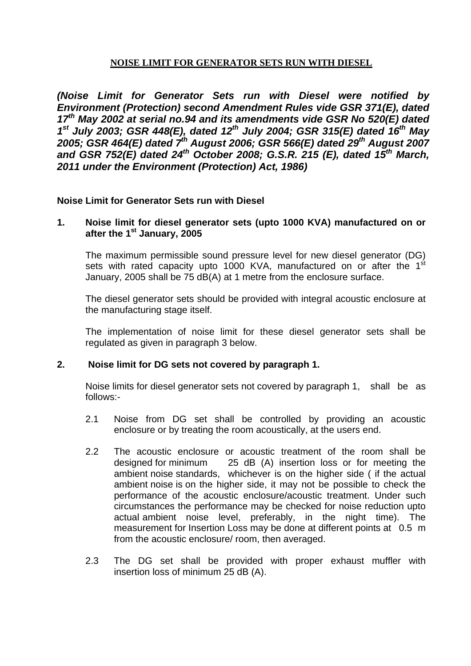# **NOISE LIMIT FOR GENERATOR SETS RUN WITH DIESEL**

*(Noise Limit for Generator Sets run with Diesel were notified by Environment (Protection) second Amendment Rules vide GSR 371(E), dated 17th May 2002 at serial no.94 and its amendments vide GSR No 520(E) dated 1st July 2003; GSR 448(E), dated 12th July 2004; GSR 315(E) dated 16th May 2005; GSR 464(E) dated 7th August 2006; GSR 566(E) dated 29th August 2007 and GSR 752(E) dated 24th October 2008; G.S.R. 215 (E), dated 15th March, 2011 under the Environment (Protection) Act, 1986)* 

#### **Noise Limit for Generator Sets run with Diesel**

#### **1. Noise limit for diesel generator sets (upto 1000 KVA) manufactured on or after the 1st January, 2005**

The maximum permissible sound pressure level for new diesel generator (DG) sets with rated capacity upto 1000 KVA, manufactured on or after the 1<sup>st</sup> January, 2005 shall be 75 dB(A) at 1 metre from the enclosure surface.

The diesel generator sets should be provided with integral acoustic enclosure at the manufacturing stage itself.

The implementation of noise limit for these diesel generator sets shall be regulated as given in paragraph 3 below.

#### **2. Noise limit for DG sets not covered by paragraph 1.**

Noise limits for diesel generator sets not covered by paragraph 1, shall be as follows:-

- 2.1 Noise from DG set shall be controlled by providing an acoustic enclosure or by treating the room acoustically, at the users end.
- 2.2 The acoustic enclosure or acoustic treatment of the room shall be designed for minimum 25 dB (A) insertion loss or for meeting the ambient noise standards, whichever is on the higher side ( if the actual ambient noise is on the higher side, it may not be possible to check the performance of the acoustic enclosure/acoustic treatment. Under such circumstances the performance may be checked for noise reduction upto actual ambient noise level, preferably, in the night time). The measurement for Insertion Loss may be done at different points at 0.5 m from the acoustic enclosure/ room, then averaged.
- 2.3 The DG set shall be provided with proper exhaust muffler with insertion loss of minimum 25 dB (A).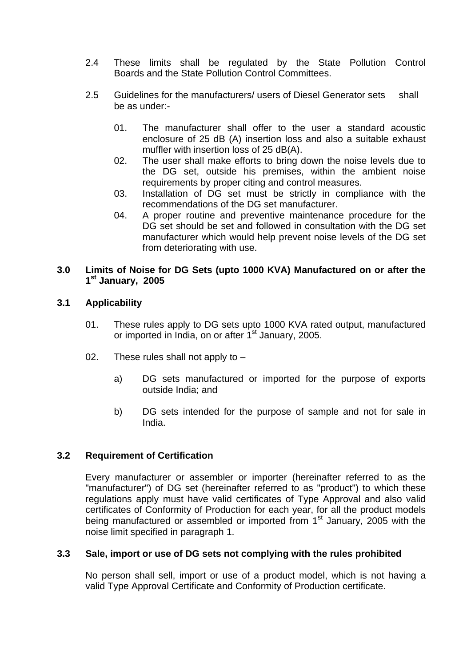- 2.4 These limits shall be regulated by the State Pollution Control Boards and the State Pollution Control Committees.
- 2.5 Guidelines for the manufacturers/ users of Diesel Generator sets shall be as under:-
	- 01. The manufacturer shall offer to the user a standard acoustic enclosure of 25 dB (A) insertion loss and also a suitable exhaust muffler with insertion loss of 25 dB(A).
	- 02. The user shall make efforts to bring down the noise levels due to the DG set, outside his premises, within the ambient noise requirements by proper citing and control measures.
	- 03. Installation of DG set must be strictly in compliance with the recommendations of the DG set manufacturer.
	- 04. A proper routine and preventive maintenance procedure for the DG set should be set and followed in consultation with the DG set manufacturer which would help prevent noise levels of the DG set from deteriorating with use.

### **3.0 Limits of Noise for DG Sets (upto 1000 KVA) Manufactured on or after the 1st January, 2005**

# **3.1 Applicability**

- 01. These rules apply to DG sets upto 1000 KVA rated output, manufactured or imported in India, on or after 1<sup>st</sup> January, 2005.
- 02. These rules shall not apply to
	- a) DG sets manufactured or imported for the purpose of exports outside India; and
	- b) DG sets intended for the purpose of sample and not for sale in India.

# **3.2 Requirement of Certification**

Every manufacturer or assembler or importer (hereinafter referred to as the "manufacturer") of DG set (hereinafter referred to as "product") to which these regulations apply must have valid certificates of Type Approval and also valid certificates of Conformity of Production for each year, for all the product models being manufactured or assembled or imported from 1<sup>st</sup> January, 2005 with the noise limit specified in paragraph 1.

### **3.3 Sale, import or use of DG sets not complying with the rules prohibited**

No person shall sell, import or use of a product model, which is not having a valid Type Approval Certificate and Conformity of Production certificate.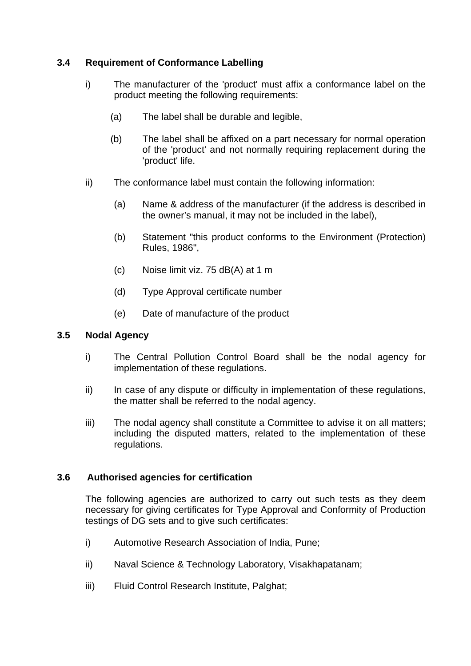# **3.4 Requirement of Conformance Labelling**

- i) The manufacturer of the 'product' must affix a conformance label on the product meeting the following requirements:
	- (a) The label shall be durable and legible,
	- (b) The label shall be affixed on a part necessary for normal operation of the 'product' and not normally requiring replacement during the 'product' life.
- ii) The conformance label must contain the following information:
	- (a) Name & address of the manufacturer (if the address is described in the owner's manual, it may not be included in the label),
	- (b) Statement "this product conforms to the Environment (Protection) Rules, 1986",
	- (c) Noise limit viz. 75 dB(A) at 1 m
	- (d) Type Approval certificate number
	- (e) Date of manufacture of the product

### **3.5 Nodal Agency**

- i) The Central Pollution Control Board shall be the nodal agency for implementation of these regulations.
- ii) In case of any dispute or difficulty in implementation of these regulations, the matter shall be referred to the nodal agency.
- iii) The nodal agency shall constitute a Committee to advise it on all matters; including the disputed matters, related to the implementation of these regulations.

### **3.6 Authorised agencies for certification**

The following agencies are authorized to carry out such tests as they deem necessary for giving certificates for Type Approval and Conformity of Production testings of DG sets and to give such certificates:

- i) Automotive Research Association of India, Pune;
- ii) Naval Science & Technology Laboratory, Visakhapatanam;
- iii) Fluid Control Research Institute, Palghat;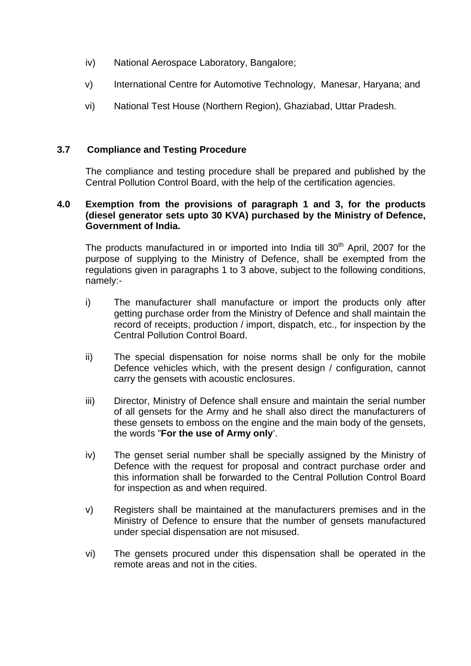- iv) National Aerospace Laboratory, Bangalore;
- v) International Centre for Automotive Technology, Manesar, Haryana; and
- vi) National Test House (Northern Region), Ghaziabad, Uttar Pradesh.

### **3.7 Compliance and Testing Procedure**

The compliance and testing procedure shall be prepared and published by the Central Pollution Control Board, with the help of the certification agencies.

### **4.0 Exemption from the provisions of paragraph 1 and 3, for the products (diesel generator sets upto 30 KVA) purchased by the Ministry of Defence, Government of India.**

The products manufactured in or imported into India till 30<sup>th</sup> April, 2007 for the purpose of supplying to the Ministry of Defence, shall be exempted from the regulations given in paragraphs 1 to 3 above, subject to the following conditions, namely:-

- i) The manufacturer shall manufacture or import the products only after getting purchase order from the Ministry of Defence and shall maintain the record of receipts, production / import, dispatch, etc., for inspection by the Central Pollution Control Board.
- ii) The special dispensation for noise norms shall be only for the mobile Defence vehicles which, with the present design / configuration, cannot carry the gensets with acoustic enclosures.
- iii) Director, Ministry of Defence shall ensure and maintain the serial number of all gensets for the Army and he shall also direct the manufacturers of these gensets to emboss on the engine and the main body of the gensets, the words "**For the use of Army only**'.
- iv) The genset serial number shall be specially assigned by the Ministry of Defence with the request for proposal and contract purchase order and this information shall be forwarded to the Central Pollution Control Board for inspection as and when required.
- v) Registers shall be maintained at the manufacturers premises and in the Ministry of Defence to ensure that the number of gensets manufactured under special dispensation are not misused.
- vi) The gensets procured under this dispensation shall be operated in the remote areas and not in the cities.